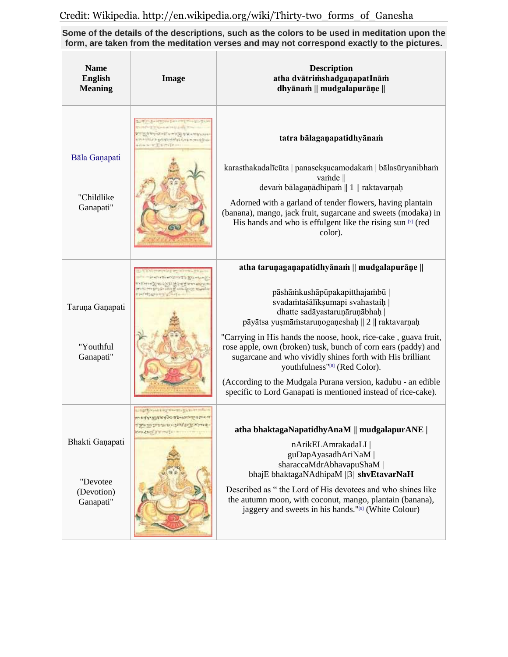**Some of the details of the descriptions, such as the colors to be used in meditation upon the form, are taken from the meditation verses and may not correspond exactly to the pictures.**

| <b>Name</b><br><b>English</b><br><b>Meaning</b>        | Image                                                                                                                                                                                                                                                        | <b>Description</b><br>atha dvātrimshadgaņapatInām<br>dhyānam    mudgalapurāņe                                                                                                                                                                                                                                                                                                                                                                                                                                                                                                  |
|--------------------------------------------------------|--------------------------------------------------------------------------------------------------------------------------------------------------------------------------------------------------------------------------------------------------------------|--------------------------------------------------------------------------------------------------------------------------------------------------------------------------------------------------------------------------------------------------------------------------------------------------------------------------------------------------------------------------------------------------------------------------------------------------------------------------------------------------------------------------------------------------------------------------------|
| Bāla Gaņapati<br>"Childlike<br>Ganapati"               | <b>CARDIOGRAPHIC PRODUCT</b><br>I I hand a ball have from<br><b>SOFTWARE STREET SOFTWARES</b><br>Containing to go and a state of the contact of the second contact of the second contact of the second contact of<br>in plate the liter of the prior present | tatra bālagaņapatidhyānam<br>karasthakadalīcūta   panasekṣucamodakam   bālasūryanibham<br>vamde   <br>devam bālagaņādhipam    1    raktavarņaḥ<br>Adorned with a garland of tender flowers, having plantain<br>(banana), mango, jack fruit, sugarcane and sweets (modaka) in<br>His hands and who is effulgent like the rising sun [7] (red<br>color).                                                                                                                                                                                                                         |
| Taruņa Gaņapati<br>"Youthful<br>Ganapati"              | THE PAINT OF LEVIS CHANGE TO BE A<br>AU HEALTH CHAIN                                                                                                                                                                                                         | atha taruņagaņapatidhyānam    mudgalapurāņe   <br>pāshāmkushāpūpakapitthajambū  <br>svadamtaśālīkṣumapi svahastaiḥ  <br>dhatte sadāyastaruņāruņābhaḥ  <br>pāyātsa yusmāmstaruņogaņeshaḥ    2    raktavarņaḥ<br>"Carrying in His hands the noose, hook, rice-cake, guava fruit,<br>rose apple, own (broken) tusk, bunch of corn ears (paddy) and<br>sugarcane and who vividly shines forth with His brilliant<br>youthfulness"[8] (Red Color).<br>(According to the Mudgala Purana version, kadubu - an edible<br>specific to Lord Ganapati is mentioned instead of rice-cake). |
| Bhakti Ganapati<br>"Devotee<br>(Devotion)<br>Ganapati" | SELVARISTIC CLASS COLLECT<br>med y agriculto absorber a maint<br><b>BALLASTAN BARNES WAS</b>                                                                                                                                                                 | atha bhaktagaNapatidhyAnaM    mudgalapurANE  <br>nArikELAmrakadaLI  <br>guDapAyasadhAriNaM<br>sharaccaMdrAbhavapuShaM  <br>bhajE bhaktagaNAdhipaM   3   shvEtavarNaH<br>Described as " the Lord of His devotees and who shines like<br>the autumn moon, with coconut, mango, plantain (banana),<br>jaggery and sweets in his hands."[9] (White Colour)                                                                                                                                                                                                                         |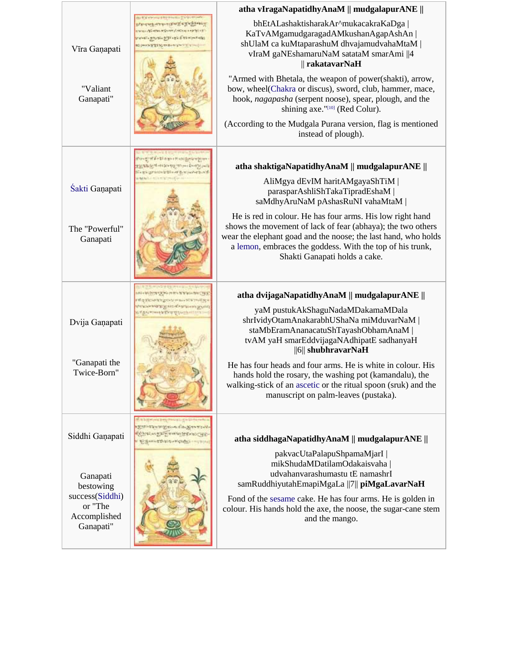|                                                         |                                                                                                                                                                                   | atha vIragaNapatidhyAnaM    mudgalapurANE                                                                                                                                                                                                                                                |
|---------------------------------------------------------|-----------------------------------------------------------------------------------------------------------------------------------------------------------------------------------|------------------------------------------------------------------------------------------------------------------------------------------------------------------------------------------------------------------------------------------------------------------------------------------|
| Vīra Ganapati                                           | <b>AT A RESIDENT PRODUCT AND RESIDENT</b><br>おかいていたかけていればない のうかいあるかないか<br>THIS CONTRACTORY AND CONTRACTORY AND<br>www.ph.mom.ph.com/and-<br>The Control of the State Delivery Day | bhEtALashaktisharakAr^mukacakraKaDga  <br>KaTvAMgamudgaragadAMkushanAgapAshAn  <br>shUlaM ca kuMtaparashuM dhvajamudvahaMtaM  <br>vIraM gaNEshamaruNaM satataM smarAmi   4<br>$\parallel$ rakatavarNaH                                                                                   |
| "Valiant<br>Ganapati"                                   |                                                                                                                                                                                   | "Armed with Bhetala, the weapon of power(shakti), arrow,<br>bow, wheel(Chakra or discus), sword, club, hammer, mace,<br>hook, nagapasha (serpent noose), spear, plough, and the<br>shining axe."[10] (Red Colur).                                                                        |
|                                                         |                                                                                                                                                                                   | (According to the Mudgala Purana version, flag is mentioned<br>instead of plough).                                                                                                                                                                                                       |
|                                                         | martin memorialistici<br>putch in the control and more from the same<br><b>Service EDI of Service Service</b><br>Add Link on a multiple                                           | atha shaktigaNapatidhyAnaM    mudgalapurANE                                                                                                                                                                                                                                              |
| Śakti Ganapati                                          |                                                                                                                                                                                   | AliMgya dEvIM haritAMgayaShTiM  <br>parasparAshliShTakaTipradEshaM  <br>saMdhyAruNaM pAshasRuNI vahaMtaM                                                                                                                                                                                 |
| The "Powerful"<br>Ganapati                              |                                                                                                                                                                                   | He is red in colour. He has four arms. His low right hand<br>shows the movement of lack of fear (abhaya); the two others<br>wear the elephant goad and the noose; the last hand, who holds<br>a lemon, embraces the goddess. With the top of his trunk,<br>Shakti Ganapati holds a cake. |
|                                                         | <b>NYE KIDIO DA MATARITANO PA RETU DE DE DE LA CALICA E</b><br>THE RECHERCOME IN SHERIFFICERS<br>www.community.com/www.community.com/                                             | atha dvijagaNapatidhyAnaM    mudgalapurANE                                                                                                                                                                                                                                               |
| Dvija Gaņapati                                          | <b>WEATHINGTON STATES AND REAL</b>                                                                                                                                                | yaM pustukAkShaguNadaMDakamaMDala<br>shrIvidyOtamAnakarabhUShaNa miMduvarNaM  <br>staMbEramAnanacatuShTayashObhamAnaM<br>tvAM yaH smarEddvijagaNAdhipatE sadhanyaH<br>$  6  $ shubhravarNaH                                                                                              |
| "Ganapati the<br>Twice-Born"                            |                                                                                                                                                                                   | He has four heads and four arms. He is white in colour. His<br>hands hold the rosary, the washing pot (kamandalu), the<br>walking-stick of an ascetic or the ritual spoon (sruk) and the<br>manuscript on palm-leaves (pustaka).                                                         |
| Siddhi Ganapati                                         | <b>TEUROPED ON STATE TEND</b><br>AN INTERNATIONAL MANUFACTURE<br>BOTH ANNE DIE DE MICHAEL CAUSE                                                                                   | atha siddhagaNapatidhyAnaM    mudgalapurANE                                                                                                                                                                                                                                              |
| Ganapati<br>bestowing                                   |                                                                                                                                                                                   | pakvacUtaPalapuShpamaMjarI  <br>mikShudaMDatilamOdakaisvaha  <br>udvahanvarashumastu tE namashrI<br>samRuddhiyutahEmapiMgaLa   7   piMgaLavarNaH                                                                                                                                         |
| success(Siddhi)<br>or "The<br>Accomplished<br>Ganapati" |                                                                                                                                                                                   | Fond of the sesame cake. He has four arms. He is golden in<br>colour. His hands hold the axe, the noose, the sugar-cane stem<br>and the mango.                                                                                                                                           |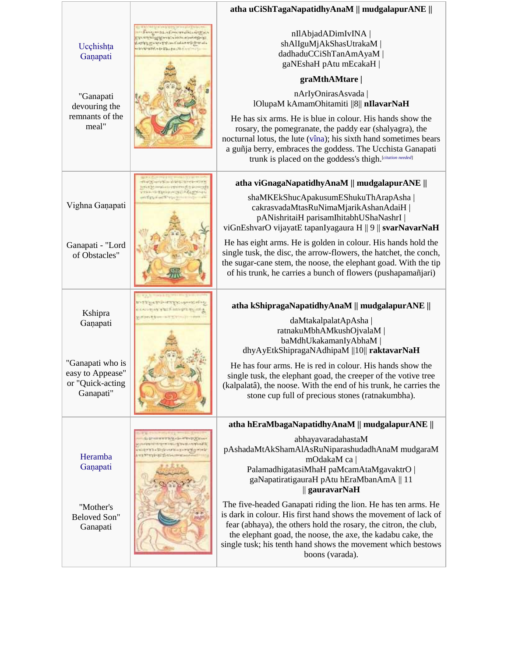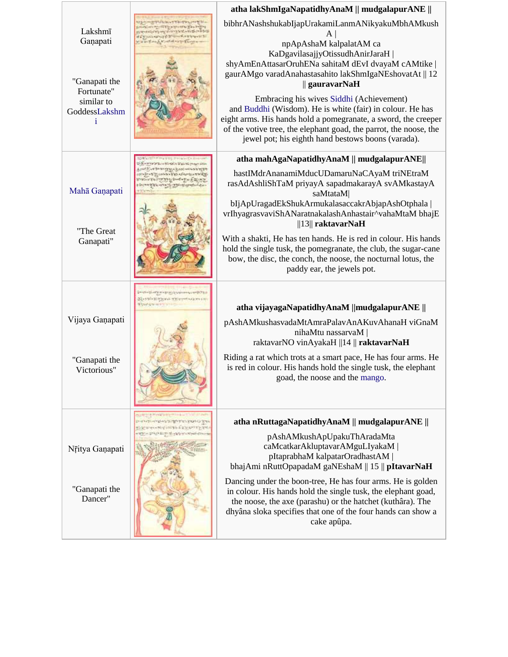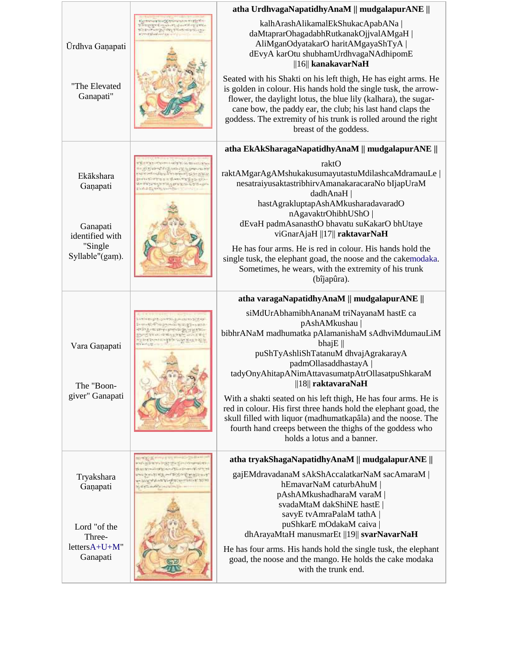|                                                                                     |                                                                                                                                                                                                                          | atha UrdhvagaNapatidhyAnaM    mudgalapurANE                                                                                                                                                                                                                                                                                                                     |
|-------------------------------------------------------------------------------------|--------------------------------------------------------------------------------------------------------------------------------------------------------------------------------------------------------------------------|-----------------------------------------------------------------------------------------------------------------------------------------------------------------------------------------------------------------------------------------------------------------------------------------------------------------------------------------------------------------|
| Ūrdhva Ganapati<br>"The Elevated<br>Ganapati"                                       | <b>SALES IN A STATE OF A STATE</b><br>おかいのうち アクトランストランス アクリア<br>comerget with the comer<br>skylinkove colo                                                                                                               | kalhArashAlikamalEkShukacApabANa  <br>daMtaprarOhagadabhRutkanakOjjvalAMgaH  <br>AliMganOdyatakarO haritAMgayaShTyA<br>dEvyA karOtu shubhamUrdhvagaNAdhipomE<br>$  16  $ kanakavarNaH                                                                                                                                                                           |
|                                                                                     |                                                                                                                                                                                                                          | Seated with his Shakti on his left thigh, He has eight arms. He<br>is golden in colour. His hands hold the single tusk, the arrow-<br>flower, the daylight lotus, the blue lily (kalhara), the sugar-<br>cane bow, the paddy ear, the club; his last hand claps the<br>goddess. The extremity of his trunk is rolled around the right<br>breast of the goddess. |
|                                                                                     |                                                                                                                                                                                                                          | atha EkAkSharagaNapatidhyAnaM    mudgalapurANE                                                                                                                                                                                                                                                                                                                  |
| Ekākshara<br>Ganapati<br>Ganapati<br>identified with<br>"Single"<br>Syllable"(gam). | THE REPORT OF THE WAY OF<br>A Water of the finished in the person of the<br><b>AND A REAL PROPERTY OF A ROAD ASSAULT</b><br>First band win To you be the<br>de originezhista grunoù 1,7% egin<br><b>NONE THE SHIPSIN</b> | raktO<br>raktAMgarAgAMshukakusumayutastuMdilashcaMdramauLe  <br>nesatraiyusaktastribhirvAmanakaracaraNo bIjapUraM<br>dadhAnaH  <br>hastAgrakluptapAshAMkusharadavaradO<br>nAgavaktrOhibhUShO  <br>dEvaH padmAsanasthO bhavatu suKakarO bhUtaye<br>viGnarAjaH   17   raktavarNaH                                                                                 |
|                                                                                     |                                                                                                                                                                                                                          | He has four arms. He is red in colour. His hands hold the<br>single tusk, the elephant goad, the noose and the cakemodaka.<br>Sometimes, he wears, with the extremity of his trunk<br>(bîjapûra).                                                                                                                                                               |
|                                                                                     |                                                                                                                                                                                                                          |                                                                                                                                                                                                                                                                                                                                                                 |
|                                                                                     |                                                                                                                                                                                                                          | atha varagaNapatidhyAnaM    mudgalapurANE                                                                                                                                                                                                                                                                                                                       |
| Vara Ganapati<br>The "Boon-<br>giver" Ganapati                                      | についはつきゃく エストラックス<br>のったのです ちゃんのせい やくて だいがい<br>法成功二十九年十月九月九十月十八日 成行<br>「十五万万人のこと あのだ 十九<br>封闭之际。                                                                                                                          | siMdUrAbhamibhAnanaM triNayanaM hastE ca<br>pAshAMkushau<br>bibhrANaM madhumatka pAlamanishaM sAdhviMdumauLiM<br>bhaj $E \parallel$<br>puShTyAshliShTatanuM dhvajAgrakarayA<br>padmOllasaddhastayA<br>tadyOnyAhitapANimAttavasumatpAtrOllasatpuShkaraM<br>$  18  $ raktavaraNaH<br>With a shakti seated on his left thigh, He has four arms. He is              |
|                                                                                     |                                                                                                                                                                                                                          | red in colour. His first three hands hold the elephant goad, the<br>skull filled with liquor (madhumatkapâla) and the noose. The<br>fourth hand creeps between the thighs of the goddess who<br>holds a lotus and a banner.                                                                                                                                     |
|                                                                                     | White India of Killers (streamscar)                                                                                                                                                                                      | atha tryakShagaNapatidhyAnaM    mudgalapurANE                                                                                                                                                                                                                                                                                                                   |
| Tryakshara<br>Ganapati<br>Lord "of the<br>Three-<br>$lettersA+U+M"$                 | Searge Art of Block Bridge<br><b>THURSDAY THE TANK OF THE COMPANY</b><br>PASSA WAARA ALARA (HEYSELA) WARD                                                                                                                | gajEMdravadanaM sAkShAccalatkarNaM sacAmaraM  <br>hEmavarNaM caturbAhuM  <br>pAshAMkushadharaM varaM<br>svadaMtaM dakShiNE hastE<br>savyE tvAmraPalaM tathA<br>puShkarE mOdakaM caiva<br>dhArayaMtaH manusmarEt   19   svarNavarNaH<br>He has four arms. His hands hold the single tusk, the elephant                                                           |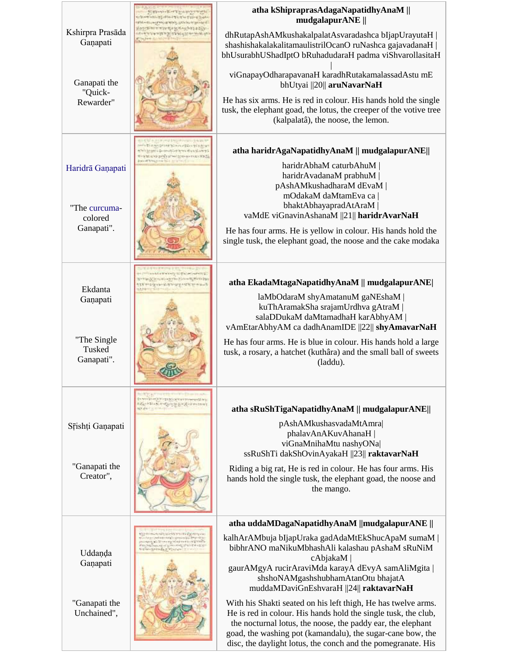|                                              | 「まるいかいる」のすることにはいかり<br>erable by strail the trail them<br><b>SUNDER WAY, SOVIET PRODUCT</b>                           | atha kShipraprasAdagaNapatidhyAnaM   <br>mudgalapurANE                                                                                                                                                                                                                                                                       |
|----------------------------------------------|----------------------------------------------------------------------------------------------------------------------|------------------------------------------------------------------------------------------------------------------------------------------------------------------------------------------------------------------------------------------------------------------------------------------------------------------------------|
| Kshirpra Prasāda<br>Ganapati                 | <b>CONTRACTOR AND REAL AND AND REAL PROPERTY</b><br><b>A SEE A SEE AGE AND A SEE AFTER</b>                           | dhRutapAshAMkushakalpalatAsvaradashca bIjapUrayutaH  <br>shashishakalakalitamaulistrilOcanO ruNashca gajavadanaH  <br>bhUsurabhUShadIptO bRuhadudaraH padma viShvarollasitaH                                                                                                                                                 |
| Ganapati the<br>"Quick-                      |                                                                                                                      | viGnapayOdharapavanaH karadhRutakamalassadAstu mE<br>bhUtyai   20   aruNavarNaH                                                                                                                                                                                                                                              |
| Rewarder"                                    |                                                                                                                      | He has six arms. He is red in colour. His hands hold the single<br>tusk, the elephant goad, the lotus, the creeper of the votive tree<br>(kalpalatâ), the noose, the lemon.                                                                                                                                                  |
|                                              | Learno was a gallery to born<br>the projection of the first work of a nature of<br>の「大地」ということを「「「「「「「「「「「「「「「「「」」」」」 | atha haridrAgaNapatidhyAnaM    mudgalapurANE                                                                                                                                                                                                                                                                                 |
| Haridrā Gaņapati<br>"The curcuma-<br>colored |                                                                                                                      | haridrAbhaM caturbAhuM  <br>haridrAvadanaM prabhuM<br>pAshAMkushadharaM dEvaM<br>mOdakaM daMtamEva ca<br>bhaktAbhayapradAtAraM  <br>vaMdE viGnavinAshanaM   21   haridrAvarNaH                                                                                                                                               |
| Ganapati".                                   |                                                                                                                      | He has four arms. He is yellow in colour. His hands hold the<br>single tusk, the elephant goad, the noose and the cake modaka                                                                                                                                                                                                |
|                                              | the police of the company of the company of the last<br>magyaral a transaction may to                                | atha EkadaMtagaNapatidhyAnaM    mudgalapurANE                                                                                                                                                                                                                                                                                |
| Ekdanta<br>Ganapati                          |                                                                                                                      | laMbOdaraM shyAmatanuM gaNEshaM<br>kuThAramakSha srajamUrdhva gAtraM  <br>salaDDukaM daMtamadhaH karAbhyAM  <br>vAmEtarAbhyAM ca dadhAnamIDE   22   shyAmavarNaH                                                                                                                                                             |
| "The Single"<br>Tusked<br>Ganapati".         |                                                                                                                      | He has four arms. He is blue in colour. His hands hold a large<br>tusk, a rosary, a hatchet (kuthâra) and the small ball of sweets<br>(laddu).                                                                                                                                                                               |
|                                              | 「んいきあんだのことのことをしていくのこと<br><b>SET ANY STRAIN</b>                                                                       | atha sRuShTigaNapatidhyAnaM    mudgalapurANE                                                                                                                                                                                                                                                                                 |
| Srishți Ganapati                             |                                                                                                                      | pAshAMkushasvadaMtAmra<br>phalavAnAKuvAhanaH<br>viGnaMnihaMtu nashyONa <br>ssRuShTi dakShOvinAyakaH   23   raktavarNaH                                                                                                                                                                                                       |
| "Ganapati the<br>Creator",                   |                                                                                                                      | Riding a big rat, He is red in colour. He has four arms. His<br>hands hold the single tusk, the elephant goad, the noose and<br>the mango.                                                                                                                                                                                   |
|                                              |                                                                                                                      | atha uddaMDagaNapatidhyAnaM   mudgalapurANE                                                                                                                                                                                                                                                                                  |
| Uddanda                                      | mel-sold-sized's perceiva list<br>NAME STREET                                                                        | kalhArAMbuja bIjapUraka gadAdaMtEkShucApaM sumaM  <br>bibhrANO maNikuMbhashAli kalashau pAshaM sRuNiM<br>cAbjakaM                                                                                                                                                                                                            |
| Ganapati                                     |                                                                                                                      | gaurAMgyA rucirAraviMda karayA dEvyA samAliMgita<br>shshoNAMgashshubhamAtanOtu bhajatA<br>muddaMDaviGnEshvaraH   24   raktavarNaH                                                                                                                                                                                            |
| "Ganapati the<br>Unchained",                 |                                                                                                                      | With his Shakti seated on his left thigh, He has twelve arms.<br>He is red in colour. His hands hold the single tusk, the club,<br>the nocturnal lotus, the noose, the paddy ear, the elephant<br>goad, the washing pot (kamandalu), the sugar-cane bow, the<br>disc, the daylight lotus, the conch and the pomegranate. His |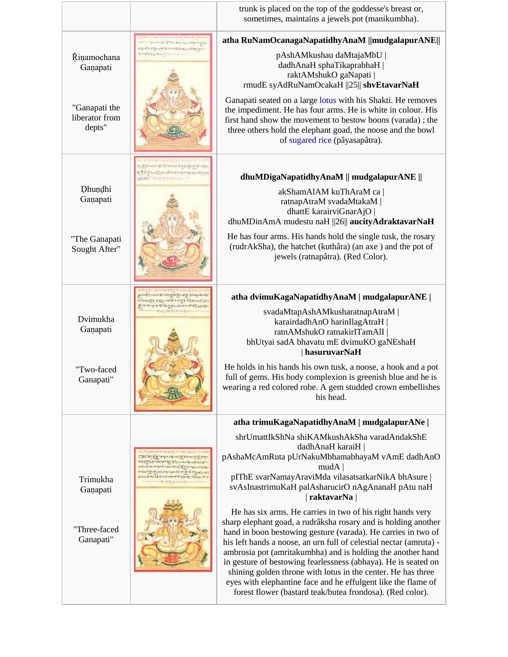|                                                                                                                                    |                                                                                                                                | trunk is placed on the top of the goddesse's breast or,<br>sometimes, maintains a jewels pot (manikumbha).                                                                                                                                                                                                                                                                                                                                                                                                                                                                                         |
|------------------------------------------------------------------------------------------------------------------------------------|--------------------------------------------------------------------------------------------------------------------------------|----------------------------------------------------------------------------------------------------------------------------------------------------------------------------------------------------------------------------------------------------------------------------------------------------------------------------------------------------------------------------------------------------------------------------------------------------------------------------------------------------------------------------------------------------------------------------------------------------|
|                                                                                                                                    | <b>CONTRACTORS INTO A REPORT OF A PARTIES</b>                                                                                  | atha RuNamOcanagaNapatidhyAnaM   mudgalapurANE                                                                                                                                                                                                                                                                                                                                                                                                                                                                                                                                                     |
| <b>COMPT - WY WESTERLOWERS</b><br>AMPENDENTIA AIR A<br><b>Rinamochana</b><br>Ganapati<br>"Ganapati the<br>liberator from<br>depts" | pAshAMkushau daMtajaMbU  <br>dadhAnaH sphaTikaprabhaH  <br>raktAMshukO gaNapati  <br>rmudE syAdRuNamOcakaH   25   shvEtavarNaH |                                                                                                                                                                                                                                                                                                                                                                                                                                                                                                                                                                                                    |
|                                                                                                                                    |                                                                                                                                | Ganapati seated on a large lotus with his Shakti. He removes<br>the impediment. He has four arms. He is white in colour. His<br>first hand show the movement to bestow boons (varada); the<br>three others hold the elephant goad, the noose and the bowl<br>of sugared rice (pâyasapâtra).                                                                                                                                                                                                                                                                                                        |
|                                                                                                                                    | 00V09V100 320V10000024242424<br>extra conditioners and in<br>School of an incidence.                                           | dhuMDigaNapatidhyAnaM    mudgalapurANE                                                                                                                                                                                                                                                                                                                                                                                                                                                                                                                                                             |
| Dhundhi<br>Ganapati                                                                                                                |                                                                                                                                | akShamAlAM kuThAraM ca<br>ratnapAtraM svadaMtakaM  <br>dhattE karairviGnarAjO<br>dhuMDinAmA mudestu naH   26   aucityAdraktavarNaH                                                                                                                                                                                                                                                                                                                                                                                                                                                                 |
| "The Ganapati<br>Sought After"                                                                                                     |                                                                                                                                | He has four arms. His hands hold the single tusk, the rosary<br>(rudrAkSha), the hatchet (kuthâra) (an axe) and the pot of<br>jewels (ratnapâtra). (Red Color).                                                                                                                                                                                                                                                                                                                                                                                                                                    |
|                                                                                                                                    | おところをかける おとうかいとうきょう<br>お客さいはつずい かかるさもせいみんしょう                                                                                   | atha dvimuKagaNapatidhyAnaM   mudgalapurANE                                                                                                                                                                                                                                                                                                                                                                                                                                                                                                                                                        |
| Dvimukha<br>Ganapati                                                                                                               | top tou usual interfaces                                                                                                       | svadaMtapAshAMkusharatnapAtraM  <br>karairdadhAnO harinIlagAtraH  <br>ratnAMshukO ratnakirITamAlI  <br>bhUtyai sadA bhavatu mE dvimuKO gaNEshaH<br>hasuruvarNaH                                                                                                                                                                                                                                                                                                                                                                                                                                    |
| "Two-faced<br>Ganapati"                                                                                                            |                                                                                                                                | He holds in his hands his own tusk, a noose, a hook and a pot<br>full of gems. His body complexion is greenish blue and he is<br>wearing a red colored robe. A gem studded crown embellishes<br>his head.                                                                                                                                                                                                                                                                                                                                                                                          |
|                                                                                                                                    |                                                                                                                                | atha trimuKagaNapatidhyAnaM   mudgalapurANe                                                                                                                                                                                                                                                                                                                                                                                                                                                                                                                                                        |
|                                                                                                                                    |                                                                                                                                | shrUmattIkShNa shiKAMkushAkSha varadAndakShE<br>dadhAnaH karaiH  <br>pAshaMcAmRuta pUrNakuMbhamabhayaM vAmE dadhAnO<br>mudA                                                                                                                                                                                                                                                                                                                                                                                                                                                                        |
| Trimukha<br>Ganapati                                                                                                               |                                                                                                                                | pIThE svarNamayAraviMda vilasatsatkarNikA bhAsure  <br>svAsInastrimuKaH palAsharucirO nAgAnanaH pAtu naH<br>  raktavarNa                                                                                                                                                                                                                                                                                                                                                                                                                                                                           |
| "Three-faced<br>Ganapati"                                                                                                          |                                                                                                                                | He has six arms. He carries in two of his right hands very<br>sharp elephant goad, a rudrâksha rosary and is holding another<br>hand in boon bestowing gesture (varada). He carries in two of<br>his left hands a noose, an urn full of celestial nectar (amruta) -<br>ambrosia pot (amritakumbha) and is holding the another hand<br>in gesture of bestowing fearlessness (abhaya). He is seated on<br>shining golden throne with lotus in the center. He has three<br>eyes with elephantine face and he effulgent like the flame of<br>forest flower (bastard teak/butea frondosa). (Red color). |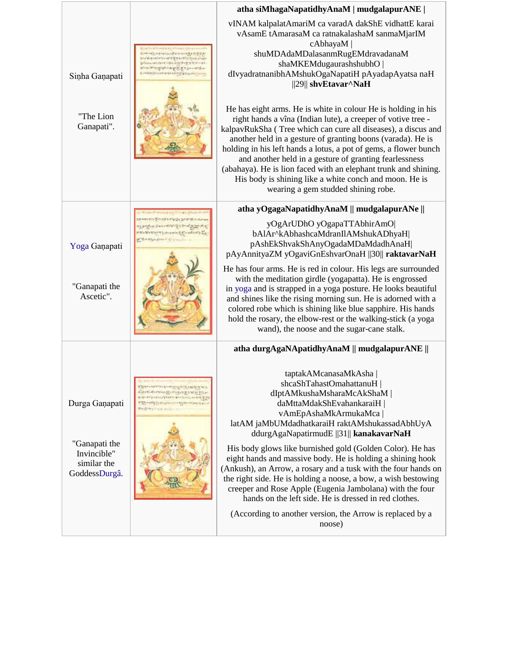|                                                                                |                                                                                                                                                                                | atha siMhagaNapatidhyAnaM   mudgalapurANE                                                                                                                                                                                                                                                                                                                                                                                                                                                                                                                                                                                                                                            |
|--------------------------------------------------------------------------------|--------------------------------------------------------------------------------------------------------------------------------------------------------------------------------|--------------------------------------------------------------------------------------------------------------------------------------------------------------------------------------------------------------------------------------------------------------------------------------------------------------------------------------------------------------------------------------------------------------------------------------------------------------------------------------------------------------------------------------------------------------------------------------------------------------------------------------------------------------------------------------|
| Sinha Ganapati                                                                 | オンレナートリットス ヒマ のうかまる だまか<br>リデオにていないかいいます 電子名のディングスカックンロン<br>いちいち アカリアカティブリック<br>いちにやりときないのかいことないというから<br>A INVESTIGATION OF A STOCK STATIONS                                   | vINAM kalpalatAmariM ca varadA dakShE vidhattE karai<br>vAsamE tAmarasaM ca ratnakalashaM sanmaMjarIM<br>cAbhayaM<br>shuMDAdaMDalasanmRugEMdravadanaM<br>shaMKEMdugaurashshubhO  <br>dIvyadratnanibhAMshukOgaNapatiH pAyadapAyatsa naH<br>$  29  $ shvEtavar^NaH                                                                                                                                                                                                                                                                                                                                                                                                                     |
| "The Lion<br>Ganapati".                                                        |                                                                                                                                                                                | He has eight arms. He is white in colour He is holding in his<br>right hands a vîna (Indian lute), a creeper of votive tree -<br>kalpavRukSha (Tree which can cure all diseases), a discus and<br>another held in a gesture of granting boons (varada). He is<br>holding in his left hands a lotus, a pot of gems, a flower bunch<br>and another held in a gesture of granting fearlessness<br>(abahaya). He is lion faced with an elephant trunk and shining.<br>His body is shining like a white conch and moon. He is<br>wearing a gem studded shining robe.                                                                                                                      |
|                                                                                |                                                                                                                                                                                | atha yOgagaNapatidhyAnaM    mudgalapurANe                                                                                                                                                                                                                                                                                                                                                                                                                                                                                                                                                                                                                                            |
| Yoga Ganapati<br>"Ganapati the<br>Ascetic".                                    | Aux Lancedown The Property<br>costs and the costs of the state of<br>while appeal on the commit-                                                                               | yOgArUDhO yOgapaTTAbhirAmO<br>bAlAr^kAbhashcaMdranIlAMshukADhyaH <br>pAshEkShvakShAnyOgadaMDaMdadhAnaH<br>pAyAnnityaZM yOgaviGnEshvarOnaH   30   raktavarNaH<br>He has four arms. He is red in colour. His legs are surrounded<br>with the meditation girdle (yogapatta). He is engrossed<br>in yoga and is strapped in a yoga posture. He looks beautiful<br>and shines like the rising morning sun. He is adorned with a<br>colored robe which is shining like blue sapphire. His hands<br>hold the rosary, the elbow-rest or the walking-stick (a yoga<br>wand), the noose and the sugar-cane stalk.                                                                              |
|                                                                                |                                                                                                                                                                                | atha durgAgaNApatidhyAnaM    mudgalapurANE                                                                                                                                                                                                                                                                                                                                                                                                                                                                                                                                                                                                                                           |
| Durga Ganapati<br>"Ganapati the<br>Invincible"<br>similar the<br>GoddessDurgâ. | <b>STEPHENOMEN ROOM</b><br>production of the company of the seat of the<br>Attendant rate of a transaction<br><b>CHARLES IN A SERVICE AND A REAL</b><br><b>CHREST ENGINEER</b> | taptakAMcanasaMkAsha<br>shcaShTahastOmahattanuH  <br>dIptAMkushaMsharaMcAkShaM  <br>daMttaMdakShEvahankaraiH  <br>vAmEpAshaMkArmukaMca<br>latAM jaMbUMdadhatkaraiH raktAMshukassadAbhUyA<br>ddurgAgaNapatirmudE   31   kanakavarNaH<br>His body glows like burnished gold (Golden Color). He has<br>eight hands and massive body. He is holding a shining hook<br>(Ankush), an Arrow, a rosary and a tusk with the four hands on<br>the right side. He is holding a noose, a bow, a wish bestowing<br>creeper and Rose Apple (Eugenia Jambolana) with the four<br>hands on the left side. He is dressed in red clothes.<br>(According to another version, the Arrow is replaced by a |
|                                                                                |                                                                                                                                                                                | noose)                                                                                                                                                                                                                                                                                                                                                                                                                                                                                                                                                                                                                                                                               |